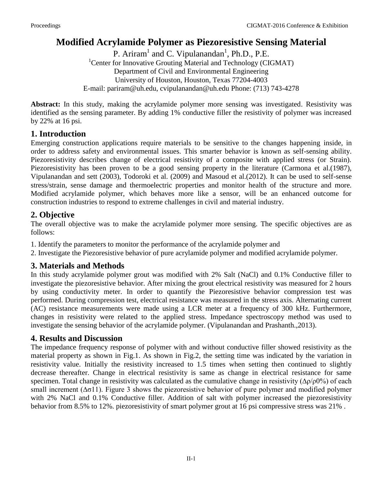# **Modified Acrylamide Polymer as Piezoresistive Sensing Material**

P. Ariram<sup>1</sup> and C. Vipulanandan<sup>1</sup>, Ph.D., P.E. <sup>1</sup>Center for Innovative Grouting Material and Technology (CIGMAT) Department of Civil and Environmental Engineering University of Houston, Houston, Texas 77204-4003 E-mail: [pariram@uh.edu,](mailto:pariram@uh.edu) cvipulanandan@uh.edu Phone: (713) 743-4278

**Abstract:** In this study, making the acrylamide polymer more sensing was investigated. Resistivity was identified as the sensing parameter. By adding 1% conductive filler the resistivity of polymer was increased by 22% at 16 psi.

# **1. Introduction**

Emerging construction applications require materials to be sensitive to the changes happening inside, in order to address safety and environmental issues. This smarter behavior is known as self-sensing ability. Piezoresistivity describes change of electrical resistivity of a composite with applied stress (or Strain). Piezoresistivity has been proven to be a good sensing property in the literature (Carmona et al.(1987), Vipulanandan and sett (2003), Todoroki et al. (2009) and Masoud et al.(2012). It can be used to self-sense stress/strain, sense damage and thermoelectric properties and monitor health of the structure and more. Modified acrylamide polymer, which behaves more like a sensor, will be an enhanced outcome for construction industries to respond to extreme challenges in civil and material industry.

# **2. Objective**

The overall objective was to make the acrylamide polymer more sensing. The specific objectives are as follows:

- 1. Identify the parameters to monitor the performance of the acrylamide polymer and
- 2. Investigate the Piezoresistive behavior of pure acrylamide polymer and modified acrylamide polymer.

# **3. Materials and Methods**

In this study acrylamide polymer grout was modified with 2% Salt (NaCl) and 0.1% Conductive filler to investigate the piezoresistive behavior. After mixing the grout electrical resistivity was measured for 2 hours by using conductivity meter. In order to quantify the Piezoresistive behavior compression test was performed. During compression test, electrical resistance was measured in the stress axis. Alternating current (AC) resistance measurements were made using a LCR meter at a frequency of 300 kHz. Furthermore, changes in resistivity were related to the applied stress. Impedance spectroscopy method was used to investigate the sensing behavior of the acrylamide polymer. (Vipulanandan and Prashanth.,2013).

## **4. Results and Discussion**

The impedance frequency response of polymer with and without conductive filler showed resistivity as the material property as shown in Fig.1. As shown in Fig.2, the setting time was indicated by the variation in resistivity value. Initially the resistivity increased to 1.5 times when setting then continued to slightly decrease thereafter. Change in electrical resistivity is same as change in electrical resistance for same specimen. Total change in resistivity was calculated as the cumulative change in resistivity (Δρ/ρ0%) of each small increment (∆σ11). Figure 3 shows the piezoresistive behavior of pure polymer and modified polymer with 2% NaCl and 0.1% Conductive filler. Addition of salt with polymer increased the piezoresistivity behavior from 8.5% to 12%. piezoresistivity of smart polymer grout at 16 psi compressive stress was 21% .